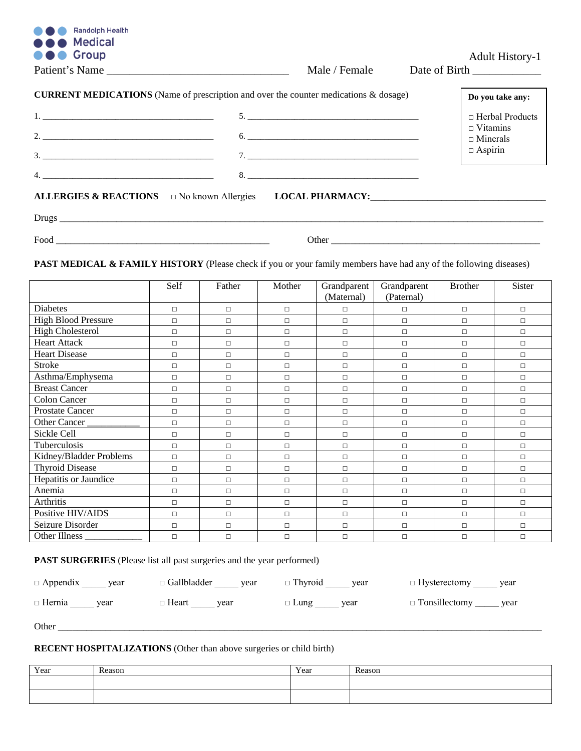| <b>Randolph Health</b><br><b>OOO</b> Medical                                                                                                                                                                                                                                                                           |                                       |                                    |
|------------------------------------------------------------------------------------------------------------------------------------------------------------------------------------------------------------------------------------------------------------------------------------------------------------------------|---------------------------------------|------------------------------------|
| <b>OOO</b> Group                                                                                                                                                                                                                                                                                                       |                                       | <b>Adult History-1</b>             |
| Patient's Name                                                                                                                                                                                                                                                                                                         | Male / Female                         | Date of Birth                      |
| <b>CURRENT MEDICATIONS</b> (Name of prescription and over the counter medications & dosage)                                                                                                                                                                                                                            |                                       | Do you take any:                   |
| $1.$ $\frac{1}{2}$ $\frac{1}{2}$ $\frac{1}{2}$ $\frac{1}{2}$ $\frac{1}{2}$ $\frac{1}{2}$ $\frac{1}{2}$ $\frac{1}{2}$ $\frac{1}{2}$ $\frac{1}{2}$ $\frac{1}{2}$ $\frac{1}{2}$ $\frac{1}{2}$ $\frac{1}{2}$ $\frac{1}{2}$ $\frac{1}{2}$ $\frac{1}{2}$ $\frac{1}{2}$ $\frac{1}{2}$ $\frac{1}{2}$ $\frac{1}{2}$ $\frac{1}{$ | 5.                                    | $\Box$ Herbal Products             |
|                                                                                                                                                                                                                                                                                                                        | $\begin{tabular}{c} 6. \end{tabular}$ | $\Box$ Vitamins<br>$\Box$ Minerals |
| 3.                                                                                                                                                                                                                                                                                                                     | 7.                                    | $\Box$ Aspirin                     |
| 4.                                                                                                                                                                                                                                                                                                                     | 8.                                    |                                    |
| ALLERGIES & REACTIONS $\Box$ No known Allergies LOCAL PHARMACY:                                                                                                                                                                                                                                                        |                                       |                                    |
|                                                                                                                                                                                                                                                                                                                        |                                       |                                    |

PAST MEDICAL & FAMILY HISTORY (Please check if you or your family members have had any of the following diseases)

Food \_\_\_\_\_\_\_\_\_\_\_\_\_\_\_\_\_\_\_\_\_\_\_\_\_\_\_\_\_\_\_\_\_\_\_\_\_\_\_\_\_\_\_\_\_ Other \_\_\_\_\_\_\_\_\_\_\_\_\_\_\_\_\_\_\_\_\_\_\_\_\_\_\_\_\_\_\_\_\_\_\_\_\_\_\_\_\_\_\_\_

|                            | Self   | Father | Mother | Grandparent<br>(Maternal) | Grandparent<br>(Paternal) | <b>Brother</b> | Sister |
|----------------------------|--------|--------|--------|---------------------------|---------------------------|----------------|--------|
|                            |        |        |        |                           |                           |                |        |
| <b>Diabetes</b>            | $\Box$ | $\Box$ | $\Box$ | $\Box$                    | $\Box$                    | $\Box$         | $\Box$ |
| <b>High Blood Pressure</b> | $\Box$ | $\Box$ | $\Box$ | $\Box$                    | $\Box$                    | $\Box$         | $\Box$ |
| <b>High Cholesterol</b>    | $\Box$ | $\Box$ | $\Box$ | $\Box$                    | $\Box$                    | $\Box$         | $\Box$ |
| Heart Attack               | $\Box$ | $\Box$ | $\Box$ | $\Box$                    | $\Box$                    | $\Box$         | $\Box$ |
| <b>Heart Disease</b>       | $\Box$ | $\Box$ | $\Box$ | $\Box$                    | $\Box$                    | $\Box$         | $\Box$ |
| <b>Stroke</b>              | $\Box$ | $\Box$ | $\Box$ | $\Box$                    | $\Box$                    | $\Box$         | $\Box$ |
| Asthma/Emphysema           | $\Box$ | $\Box$ | $\Box$ | $\Box$                    | $\Box$                    | $\Box$         | $\Box$ |
| <b>Breast Cancer</b>       | $\Box$ | $\Box$ | $\Box$ | $\Box$                    | $\Box$                    | $\Box$         | $\Box$ |
| <b>Colon Cancer</b>        | $\Box$ | $\Box$ | $\Box$ | $\Box$                    | $\Box$                    | $\Box$         | $\Box$ |
| <b>Prostate Cancer</b>     | $\Box$ | $\Box$ | $\Box$ | $\Box$                    | $\Box$                    | $\Box$         | $\Box$ |
| Other Cancer               | $\Box$ | $\Box$ | $\Box$ | $\Box$                    | $\Box$                    | $\Box$         | $\Box$ |
| Sickle Cell                | $\Box$ | $\Box$ | $\Box$ | $\Box$                    | $\Box$                    | $\Box$         | $\Box$ |
| Tuberculosis               | $\Box$ | $\Box$ | $\Box$ | $\Box$                    | $\Box$                    | $\Box$         | $\Box$ |
| Kidney/Bladder Problems    | $\Box$ | $\Box$ | $\Box$ | $\Box$                    | $\Box$                    | $\Box$         | $\Box$ |
| <b>Thyroid Disease</b>     | $\Box$ | $\Box$ | $\Box$ | $\Box$                    | $\Box$                    | $\Box$         | $\Box$ |
| Hepatitis or Jaundice      | $\Box$ | $\Box$ | $\Box$ | $\Box$                    | $\Box$                    | $\Box$         | $\Box$ |
| Anemia                     | $\Box$ | $\Box$ | $\Box$ | $\Box$                    | $\Box$                    | $\Box$         | $\Box$ |
| Arthritis                  | $\Box$ | $\Box$ | $\Box$ | $\Box$                    | $\Box$                    | $\Box$         | $\Box$ |
| Positive HIV/AIDS          | $\Box$ | $\Box$ | $\Box$ | $\Box$                    | $\Box$                    | $\Box$         | $\Box$ |
| Seizure Disorder           | $\Box$ | $\Box$ | $\Box$ | $\Box$                    | $\Box$                    | $\Box$         | $\Box$ |
| Other Illness __           | $\Box$ | $\Box$ | $\Box$ | $\Box$                    | $\Box$                    | $\Box$         | $\Box$ |

**PAST SURGERIES** (Please list all past surgeries and the year performed)

| $\Box$ Appendix year | $\Box$ Gallbladder<br>vear | $\Box$ Thyroid year | $\Box$ Hysterectomy vear    |
|----------------------|----------------------------|---------------------|-----------------------------|
| $\Box$ Hernia        | $\Box$ Heart               | $\Box$ Lung         | □ Tonsillectomy ______ year |
| vear                 | vear                       | vear                |                             |

Other \_\_\_\_\_\_\_\_\_\_\_\_\_\_\_\_\_\_\_\_\_\_\_\_\_\_\_\_\_\_\_\_\_\_\_\_\_\_\_\_\_\_\_\_\_\_\_\_\_\_\_\_\_\_\_\_\_\_\_\_\_\_\_\_\_\_\_\_\_\_\_\_\_\_\_\_\_\_\_\_\_\_\_\_\_\_\_\_\_\_\_\_\_\_\_\_\_\_\_\_\_\_

## **RECENT HOSPITALIZATIONS** (Other than above surgeries or child birth)

| Year | Reason | Year | Reason |
|------|--------|------|--------|
|      |        |      |        |
|      |        |      |        |